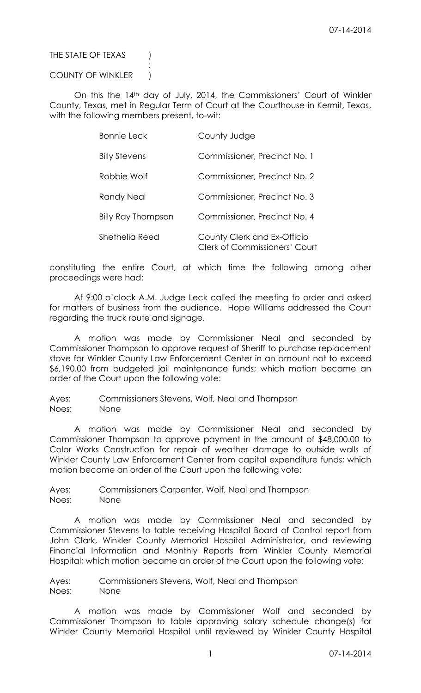THE STATE OF TEXAS (

# COUNTY OF WINKLER )

:

On this the 14th day of July, 2014, the Commissioners' Court of Winkler County, Texas, met in Regular Term of Court at the Courthouse in Kermit, Texas, with the following members present, to-wit:

| <b>Bonnie Leck</b>        | County Judge                                                        |
|---------------------------|---------------------------------------------------------------------|
| <b>Billy Stevens</b>      | Commissioner, Precinct No. 1                                        |
| Robbie Wolf               | Commissioner, Precinct No. 2                                        |
| Randy Neal                | Commissioner, Precinct No. 3                                        |
| <b>Billy Ray Thompson</b> | Commissioner, Precinct No. 4                                        |
| Shethelia Reed            | County Clerk and Ex-Officio<br><b>Clerk of Commissioners' Court</b> |

constituting the entire Court, at which time the following among other proceedings were had:

At 9:00 o'clock A.M. Judge Leck called the meeting to order and asked for matters of business from the audience. Hope Williams addressed the Court regarding the truck route and signage.

A motion was made by Commissioner Neal and seconded by Commissioner Thompson to approve request of Sheriff to purchase replacement stove for Winkler County Law Enforcement Center in an amount not to exceed \$6,190.00 from budgeted jail maintenance funds; which motion became an order of the Court upon the following vote:

Ayes: Commissioners Stevens, Wolf, Neal and Thompson Noes: None

A motion was made by Commissioner Neal and seconded by Commissioner Thompson to approve payment in the amount of \$48,000.00 to Color Works Construction for repair of weather damage to outside walls of Winkler County Law Enforcement Center from capital expenditure funds; which motion became an order of the Court upon the following vote:

Ayes: Commissioners Carpenter, Wolf, Neal and Thompson Noes: None

A motion was made by Commissioner Neal and seconded by Commissioner Stevens to table receiving Hospital Board of Control report from John Clark, Winkler County Memorial Hospital Administrator, and reviewing Financial Information and Monthly Reports from Winkler County Memorial Hospital; which motion became an order of the Court upon the following vote:

Ayes: Commissioners Stevens, Wolf, Neal and Thompson Noes: None

A motion was made by Commissioner Wolf and seconded by Commissioner Thompson to table approving salary schedule change(s) for Winkler County Memorial Hospital until reviewed by Winkler County Hospital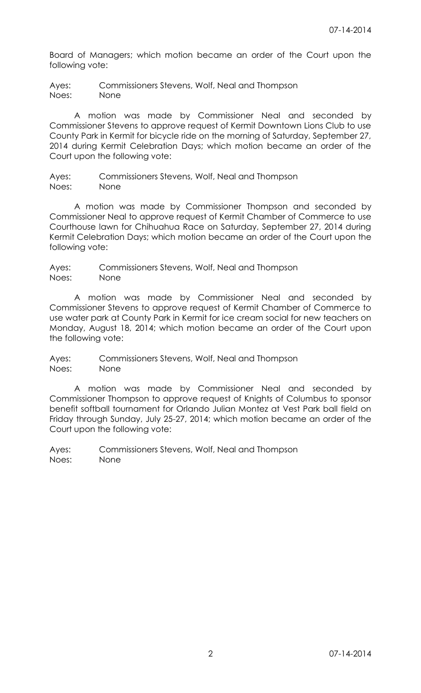Board of Managers; which motion became an order of the Court upon the following vote:

Ayes: Commissioners Stevens, Wolf, Neal and Thompson Noes: None

A motion was made by Commissioner Neal and seconded by Commissioner Stevens to approve request of Kermit Downtown Lions Club to use County Park in Kermit for bicycle ride on the morning of Saturday, September 27, 2014 during Kermit Celebration Days; which motion became an order of the Court upon the following vote:

Ayes: Commissioners Stevens, Wolf, Neal and Thompson Noes: None

A motion was made by Commissioner Thompson and seconded by Commissioner Neal to approve request of Kermit Chamber of Commerce to use Courthouse lawn for Chihuahua Race on Saturday, September 27, 2014 during Kermit Celebration Days; which motion became an order of the Court upon the following vote:

Ayes: Commissioners Stevens, Wolf, Neal and Thompson Noes: None

A motion was made by Commissioner Neal and seconded by Commissioner Stevens to approve request of Kermit Chamber of Commerce to use water park at County Park in Kermit for ice cream social for new teachers on Monday, August 18, 2014; which motion became an order of the Court upon the following vote:

Ayes: Commissioners Stevens, Wolf, Neal and Thompson Noes: None

A motion was made by Commissioner Neal and seconded by Commissioner Thompson to approve request of Knights of Columbus to sponsor benefit softball tournament for Orlando Julian Montez at Vest Park ball field on Friday through Sunday, July 25-27, 2014; which motion became an order of the Court upon the following vote: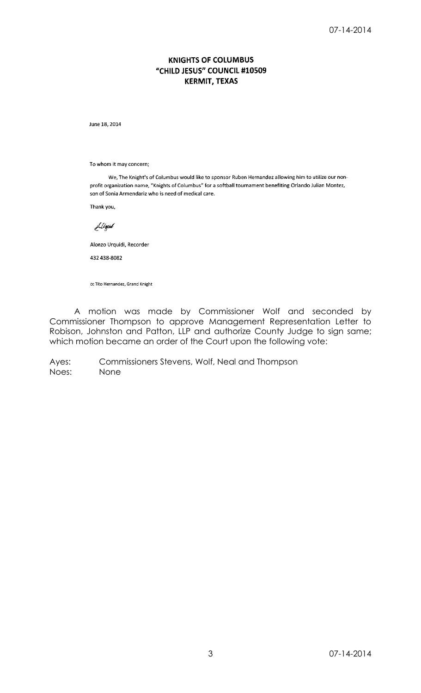# **KNIGHTS OF COLUMBUS** "CHILD JESUS" COUNCIL #10509 **KERMIT, TEXAS**

June 18, 2014

To whom it may concern;

We, The Knight's of Columbus would like to sponsor Ruben Hernandez allowing him to utilize our nonprofit organization name, "Knights of Columbus" for a softball tournament benefiting Orlando Julian Montez, son of Sonia Armendariz who is need of medical care.

Thank you,

Liligid

Alonzo Urquidi, Recorder

432 438-8082

cc Tito Hernandez, Grand Knight

A motion was made by Commissioner Wolf and seconded by Commissioner Thompson to approve Management Representation Letter to Robison, Johnston and Patton, LLP and authorize County Judge to sign same; which motion became an order of the Court upon the following vote: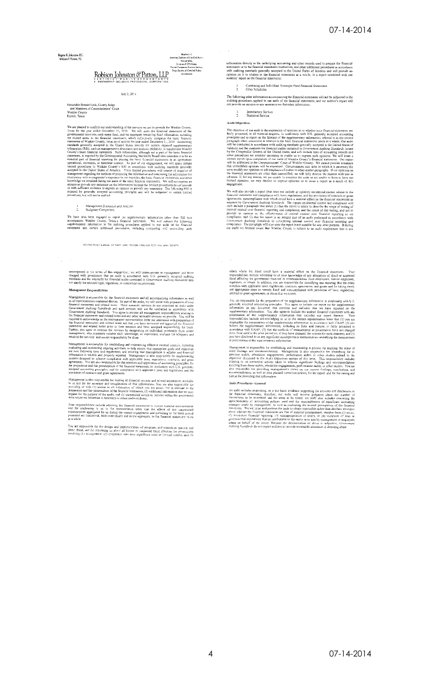Règna K. Johnston, EC.<br>William P. Patton, P.C.

# American passive of Contenes Products<br>
Merican of CPA Firms.<br>Private Companies Practice Section<br>
Texas Society of Certified Pub<br>
Accountants Robison Johnston & Patton, LLP

Members of<br>Enstitute of CortiEed

#### July 2, 2014

Honorable Bonnie Leck, County Judge<br>and Members of Commissioners' Court<br>Winkler County<br>Kermit, Texas

We are pleased to confirm our understanding of the services we are to provide for Winkler Compy.<br>Texas for the year embed December 11, 2014. We will audit the financial statements of the granited accuration, used<br>in a fin

# 1 Management Discussion and Analysis<br>2. Budgetary Comparison

We have also been engaged to report on supplementary information other than RSI trut<br>accompanies Winkler County, Texas's financial statements. We will subject the following<br>supplementary information to the auditing procedu

3813 540 Street + Lubbock, TX 79423 + (806) 783-0268 + (800) 658 9272 + Fax: (806) 783

oncompassed in the terms of this engagement, we will communicate to management and those charged with governance that an audit in accordance with U.S. generally accepted auditing standards and the standards for financial

#### Management Responsibilities

**MAGE CONSECTED ASSOCIATES**<br> **SECULAR CONSECT ASSOCIATES**<br> **SECULAR CONSECTES**<br> **SALTERCE CONSECTED ASSOCIATES**<br> **SALTERCE CONSECTED**<br> **SALTERCE CONSECTED**<br> **SALTERCE CONSECTED**<br> **SALTERCE ASSOCIATES**<br> **SALTERCE ASSOCIATE** 

For the state of the state of the state of the state of the state of the state of the state of the state of the state of the state of the state of the state of the state in the state of the state in the state of the state

Management is also responsible for making all framedal records and related information available<br>for an and for the accuracy and completeness of that information. You are also responsible for<br>providing us with (1) access t

Your responsibilities include adjusting the channel statements.<br>
Your responsibilities include adjusting the framerial statements and for confirming to us in the representation letter that the effects of any uncorrected<br>
m

You are responsible for the design and implementation of programs and controls to prevent and<br>detect fraud, and for intorming us about all known or suspected fraud affecting the government<br>involving (1) management, (2) emp

information directly to the underlying accounting and other records used to prepare the financial statements or to the financial statements themselves, and other additional procedures in accordance with auditing standards

# 1. Combining and Individual Nonmajor Fund Financial Statements.<br>2. Other Schodules

The following other information accompanying the financial statements will not be subjected to the<br>auditing procedures applied in our audit of the financial statements, and our auditor's report will<br>not provide an opinion

1. Introductory Section<br>2. Statistical Section

#### Audit Objectives

Audit Objectives<br>
Audit Objectives<br>
The depression of opinions as to whether your financial statements are<br>
for by presented, in all material respects, in confurmity with U.S. generally accepted accounting<br>
principles and

**engagement**. Somewhole a report (that does not include an opinion) on internal control related to the Vavid also provide a report (that does not ideal as figure material statements and compliance with laws, regulations,

others where the fraud could have a material effect on the financial statements. You<br>responsibilities include informing us of your knowledge of any allegations of traud or suspected<br>from the government; resideved in commu

Foucasi or grain agreements, or otous trait we report,<br>You, are treeparable for the preparation of the supplementary information: in conformity with U.S.<br>Secretally seconded for the preparation of the supplementary inform

Muragement is responsible for establishing and maintaining a process for tracking the state of and<br>it findings and recommendulons. Management is also responsible for the<br>antificantly and the process and the proposition of

## Andit Procedures-Ceneral

Now a considerable symple on a test basis, evidence supporting the amounts and disclosures in<br>the financial stetements; therefore, our audit will involve judgment about the number of<br>transicions to be examined and the are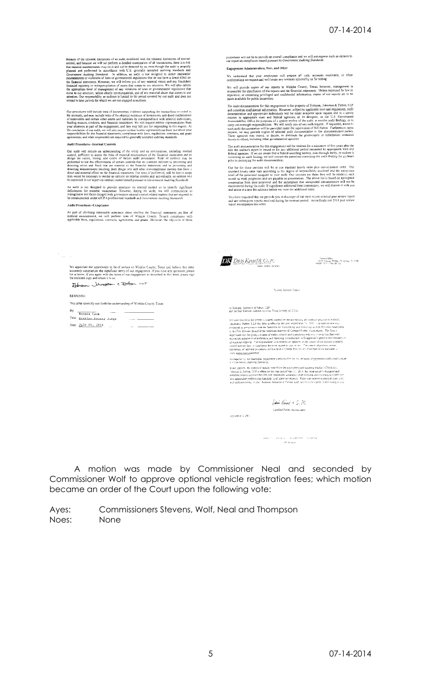Because of the inherent limit<br>lations of an audit, combined with the inherent limitations of internal<br>control, and because we will not perform a detailed coarninotion of all transactions, there is a risk<br>that material mis

Our procedures will include tests of documentary evidence supporting the transactions reconded in<br>the accounts, and may include tests of the physical existence of inventories, and direct confirmation<br>of receivables and en

**Audit Procedures-Internal Controls** 

**Now retrieve the matter and the matter of the critical system and the control control of the state of the critical system control and the capacity control of the financial system is the properties. The state of the profo** 

An audit is not designed to provide assurance on internal control or to identify significant deficiencies for material weaknesses. However, during the audit, we will communicate to management and those charged with govern

#### Audit Procedures-Compliance

As part of obtaining reasonable assurance about whether the framedal statements are free of<br>material misstatement, we will perform tests of Winkler County, Texas's compliance with<br>applicable laws, regulations, contracts, a

We appreciate the opportunity to be of service to Winkler County, Texas and bulieve this ietter least isoten sequented your<br>accurately youngerizes the significant terms of our engagement. If you have any questions, please

Return blusten + Potter LLP

#### **RESPONSE**

 $\frac{1}{2} \frac{1}{2} \frac{1}{2} \frac{1}{2} \frac{1}{2}$ 

This letter correctly sets forth the understanding of Winkler County, Texas.

| Bv: | Bonnie Leck                 |      |  |
|-----|-----------------------------|------|--|
|     | Title: Einkler County Judge |      |  |
|     | Date: July 14, 2014         | $ -$ |  |

procedures will not be to provide an overall compliance and we will not express such an opinion in<br>our report on compliance issued pursuant to *Government Auditing Standards*.

Engagement Administration, Fees, and Other

We understand that your employees will prepare all cash, accounts receivable, or other confirmations we request and will locate any invoices selected by us for testing.

We will provide copies of our reports to Winkler County, Texas; however, management is<br>responsible for distribution of the repurs and the financial statements. Unless restricted by law or<br>regulation, or containing privileg

made available lot public inspection.<br>
The audi documentation for this engagement is the property of Robison, Johnston & Parton, 1.1.<sup>3</sup><br>
The audi documentation and appropriate individuals will be made available laws and

The audit documentation for this engagement will be retained for a minimum of five years after the date the auditor's report is issued or for any additional period requested by approprate state and federal approximation f

From the start parameterization of the start and model of the start of the start of the start of the start start is expected to the start of the present start of the present start of the present start and the experiment an

You have requested that we provide you with a capy of our most recent external peer review report<br>and any subsequent reports received during the contract period. Accordingly our 2011 peer review<br>report accompanies this let



Strendor Office<br>(1990) Highest PC Box 222 Sparses (71) 72329<br>adj 287-7345 - 2 Majo 28 July

**System heviow Repur** 

To Robison Johnsinn & Pattar. [11]<br>and the Peer Review Committee of the Texas Society of CPAL

We have reversing the system is using varied for the accounting and subgraphs of the<br>disconsistence  $\lambda$  and  $\lambda$  and<br> $\lambda$  and  $\lambda$  and  $\lambda$  and<br> $\lambda$  and  $\lambda$  are accounted to a<br>respect to the system of the system of  $\lambda$ 

As required by the standards, engagements selected for review included or payering  $\alpha$  (coveragement Auditing Standards).  $\nu$  conservator, the<br>primary control in the second of the secondity and adding product of Nobison.<br>This scale is a second of the set of the set of the secondity of the<br>primary of the set of the set of the set of the set

- Binir Kined, † G., PC

 $\label{eq:stiff} \begin{split} \langle \sin\theta(t) \rangle &= \pi(t) \ln \left(1 - \left(1/\kappa \right) \mathrm{R} \lambda^2 \mathrm{d}^2 t \right) = \left(1/\kappa \mathrm{R}^2 \mathrm{d}^2 t \right) \end{split}$ 

Certified Pablic Accountant

sipante 1.2011

A motion was made by Commissioner Neal and seconded by Commissioner Wolf to approve optional vehicle registration fees; which motion became an order of the Court upon the following vote: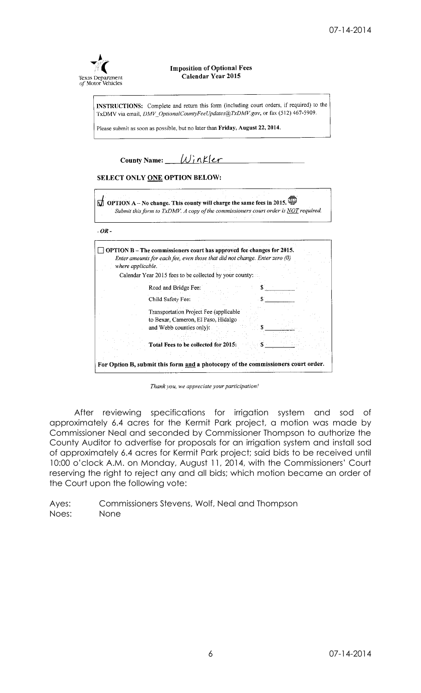

**Imposition of Optional Fees** Calendar Year 2015

INSTRUCTIONS: Complete and return this form (including court orders, if required) to the TxDMV via email, DMV\_OptionalCountyFeeUpdates@TxDMV.gov, or fax (512) 467-5909.

Please submit as soon as possible, but no later than Friday, August 22, 2014.

County Name:  $\boxed{\bigcup inKer}$ SELECT ONLY ONE OPTION BELOW:  $\bigcirc$  OPTION A - No change. This county will charge the same fees in 2015. Submit this form to TxDMV. A copy of the commissioners court order is NOT required.  $-OR \Box$  OPTION B – The commissioners court has approved fee changes for 2015. Enter amounts for each fee, even those that did not change. Enter zero (0) where applicable. Calendar Year 2015 fees to be collected by your county: Road and Bridge Fee: \$ Child Safety Fee:  $\mathbb{S}$ Transportation Project Fee (applicable to Bexar, Cameron, El Paso, Hidalgo and Webb counties only): Total Fees to be collected for 2015: For Option B, submit this form and a photocopy of the commissioners court order.

Thank you, we appreciate your participation!

After reviewing specifications for irrigation system and sod of approximately 6.4 acres for the Kermit Park project, a motion was made by Commissioner Neal and seconded by Commissioner Thompson to authorize the County Auditor to advertise for proposals for an irrigation system and install sod of approximately 6.4 acres for Kermit Park project; said bids to be received until 10:00 o'clock A.M. on Monday, August 11, 2014, with the Commissioners' Court reserving the right to reject any and all bids; which motion became an order of the Court upon the following vote: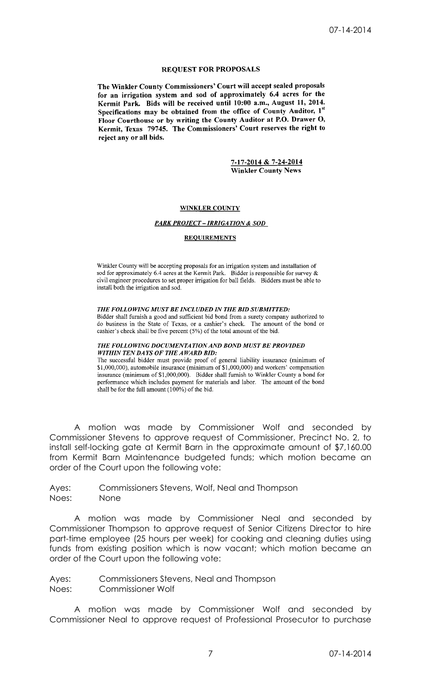# **REQUEST FOR PROPOSALS**

The Winkler County Commissioners' Court will accept sealed proposals for an irrigation system and sod of approximately 6.4 acres for the Kermit Park. Bids will be received until  $10:00$  a.m., August 11, 2014. Specifications may be obtained from the office of County Auditor, 1<sup>st</sup> Floor Courthouse or by writing the County Auditor at P.O. Drawer O, Kermit, Texas 79745. The Commissioners' Court reserves the right to reject any or all bids.

> 7-17-2014 & 7-24-2014 **Winkler County News**

## **WINKLER COUNTY**

## **PARK PROJECT - IRRIGATION & SOD**

#### **REQUIREMENTS**

Winkler County will be accepting proposals for an irrigation system and installation of sod for approximately 6.4 acres at the Kermit Park. Bidder is responsible for survey  $\&$ civil engineer procedures to set proper irrigation for ball fields. Bidders must be able to install both the irrigation and sod.

#### THE FOLLOWING MUST BE INCLUDED IN THE BID SUBMITTED:

Bidder shall furnish a good and sufficient bid bond from a surety company authorized to do business in the State of Texas, or a cashier's check. The amount of the bond or cashier's check shall be five percent (5%) of the total amount of the bid.

#### THE FOLLOWING DOCUMENTATION AND BOND MUST BE PROVIDED WITHIN TEN DAYS OF THE AWARD BID:

The successful bidder must provide proof of general liability insurance (minimum of \$1,000,000), automobile insurance (minimum of \$1,000,000) and workers' compensation insurance (minimum of \$1,000,000). Bidder shall furnish to Winkler County a bond for<br>performance which includes payment for materials and labor. The amount of the bond shall be for the full amount (100%) of the bid.

A motion was made by Commissioner Wolf and seconded by Commissioner Stevens to approve request of Commissioner, Precinct No. 2, to install self-locking gate at Kermit Barn in the approximate amount of \$7,160.00 from Kermit Barn Maintenance budgeted funds; which motion became an order of the Court upon the following vote:

Ayes: Commissioners Stevens, Wolf, Neal and Thompson Noes: None

A motion was made by Commissioner Neal and seconded by Commissioner Thompson to approve request of Senior Citizens Director to hire part-time employee (25 hours per week) for cooking and cleaning duties using funds from existing position which is now vacant; which motion became an order of the Court upon the following vote:

Ayes: Commissioners Stevens, Neal and Thompson Noes: Commissioner Wolf

A motion was made by Commissioner Wolf and seconded by Commissioner Neal to approve request of Professional Prosecutor to purchase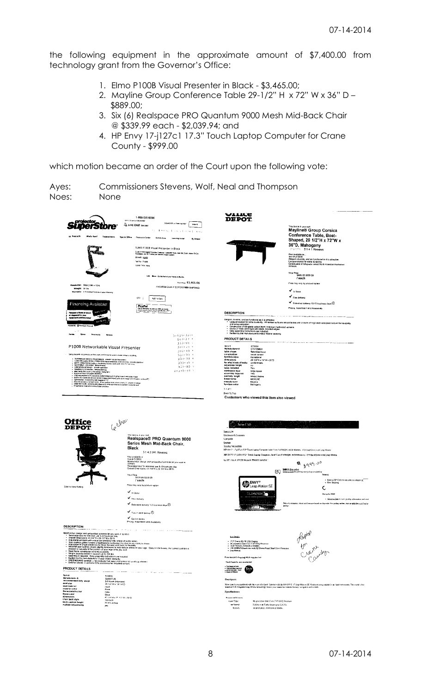the following equipment in the approximate amount of \$7,400.00 from technology grant from the Governor's Office:

- 1. Elmo P100B Visual Presenter in Black \$3,465.00;
- 2. Mayline Group Conference Table 29-1/2" H x 72" W x 36" D \$889.00;
- 3. Six (6) Realspace PRO Quantum 9000 Mesh Mid-Back Chair @ \$339.99 each - \$2,039.94; and
- 4. HP Envy 17-j127c1 17.3" Touch Laptop Computer for Crane County - \$999.00

which motion became an order of the Court upon the following vote:

Ayes: Commissioners Stevens, Wolf, Neal and Thompson

Noes: None





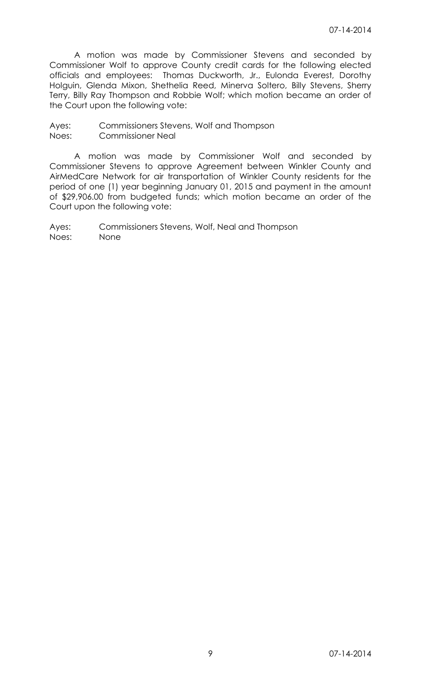A motion was made by Commissioner Stevens and seconded by Commissioner Wolf to approve County credit cards for the following elected officials and employees: Thomas Duckworth, Jr., Eulonda Everest, Dorothy Holguin, Glenda Mixon, Shethelia Reed, Minerva Soltero, Billy Stevens, Sherry Terry, Billy Ray Thompson and Robbie Wolf; which motion became an order of the Court upon the following vote:

Ayes: Commissioners Stevens, Wolf and Thompson Noes: Commissioner Neal

A motion was made by Commissioner Wolf and seconded by Commissioner Stevens to approve Agreement between Winkler County and AirMedCare Network for air transportation of Winkler County residents for the period of one (1) year beginning January 01, 2015 and payment in the amount of \$29,906.00 from budgeted funds; which motion became an order of the Court upon the following vote: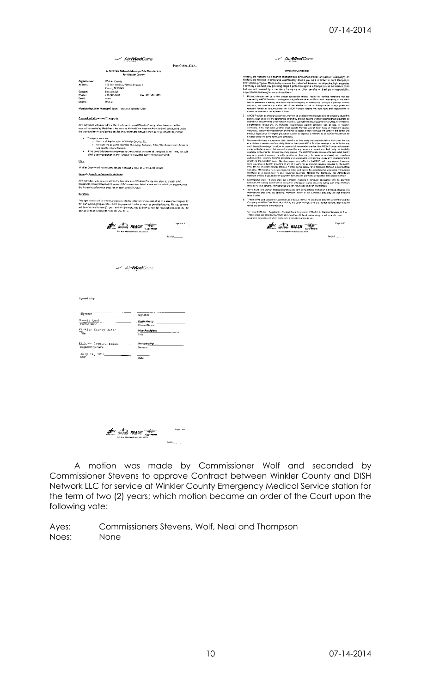|                                                                                                                                                                                                                                                                                                                                                                                                                                                                                                                                                                                                                                                                                                                                                                                                                                                            | - Air <b>Med</b> Care                                                                                                                                                                                                                                                                                                                                                  | ⊸∕ Air <b>Med</b> Care                                                                                                                                                                                                                                                                                                                                                                                                                                                                                                                                                                                                                                                                                                                                                                                                                                                                                                                                                                                                                                                                                                                                                                                                                                                                                                                                                                                                                                                                                                                                                                                                                                                                                                                                                                                                                                                                                                                                                                                                                                                                                                                                                                                       |  |  |  |  |
|------------------------------------------------------------------------------------------------------------------------------------------------------------------------------------------------------------------------------------------------------------------------------------------------------------------------------------------------------------------------------------------------------------------------------------------------------------------------------------------------------------------------------------------------------------------------------------------------------------------------------------------------------------------------------------------------------------------------------------------------------------------------------------------------------------------------------------------------------------|------------------------------------------------------------------------------------------------------------------------------------------------------------------------------------------------------------------------------------------------------------------------------------------------------------------------------------------------------------------------|--------------------------------------------------------------------------------------------------------------------------------------------------------------------------------------------------------------------------------------------------------------------------------------------------------------------------------------------------------------------------------------------------------------------------------------------------------------------------------------------------------------------------------------------------------------------------------------------------------------------------------------------------------------------------------------------------------------------------------------------------------------------------------------------------------------------------------------------------------------------------------------------------------------------------------------------------------------------------------------------------------------------------------------------------------------------------------------------------------------------------------------------------------------------------------------------------------------------------------------------------------------------------------------------------------------------------------------------------------------------------------------------------------------------------------------------------------------------------------------------------------------------------------------------------------------------------------------------------------------------------------------------------------------------------------------------------------------------------------------------------------------------------------------------------------------------------------------------------------------------------------------------------------------------------------------------------------------------------------------------------------------------------------------------------------------------------------------------------------------------------------------------------------------------------------------------------------------|--|--|--|--|
|                                                                                                                                                                                                                                                                                                                                                                                                                                                                                                                                                                                                                                                                                                                                                                                                                                                            | Plan Code: 5767                                                                                                                                                                                                                                                                                                                                                        |                                                                                                                                                                                                                                                                                                                                                                                                                                                                                                                                                                                                                                                                                                                                                                                                                                                                                                                                                                                                                                                                                                                                                                                                                                                                                                                                                                                                                                                                                                                                                                                                                                                                                                                                                                                                                                                                                                                                                                                                                                                                                                                                                                                                              |  |  |  |  |
|                                                                                                                                                                                                                                                                                                                                                                                                                                                                                                                                                                                                                                                                                                                                                                                                                                                            | AirMedCare Network Municipal Site Membership                                                                                                                                                                                                                                                                                                                           | <b>Terms and Conditions</b>                                                                                                                                                                                                                                                                                                                                                                                                                                                                                                                                                                                                                                                                                                                                                                                                                                                                                                                                                                                                                                                                                                                                                                                                                                                                                                                                                                                                                                                                                                                                                                                                                                                                                                                                                                                                                                                                                                                                                                                                                                                                                                                                                                                  |  |  |  |  |
| Organization:<br>Address:<br>Contact:<br>Phone:<br>Email:<br>County:                                                                                                                                                                                                                                                                                                                                                                                                                                                                                                                                                                                                                                                                                                                                                                                       | For Winkler County<br>Winkler County<br>100 East Winkler/PO Rox Drawer Y<br>Kermit, TX 79745<br>Bonnie Leck<br>432-586-6658<br>Fax: 432-586-3223<br>none<br><b>Winkley</b>                                                                                                                                                                                             | AirMedCare Network is an alliance of affiliated air ambulance providers" (each a "Company"). An<br>AirMedCare Network membership automatically enrolls you as a member in each Company's<br>membershio program. Membership ensures the patient will have no out-of-pocket flight expenses.<br>If flown by a Company by providing prepaid protection against a Company's air ambulance costs.<br>that are not covered by a member's insurance or other benefits or third party responsibility,<br>subject to the following terms and conditions.<br>Patient transport will be to the closest appropriate medical facility for medical conditions that are<br>deemed by AMCN Provider attending medical professionals to be life- or limb-Inreatening, or that could<br>lead to permanent disability, and which require entergency air ambulance fransport. A patient's medical<br>condition, not membership status, well dictate whether or not air transportation is appropriate and                                                                                                                                                                                                                                                                                                                                                                                                                                                                                                                                                                                                                                                                                                                                                                                                                                                                                                                                                                                                                                                                                                                                                                                                                         |  |  |  |  |
|                                                                                                                                                                                                                                                                                                                                                                                                                                                                                                                                                                                                                                                                                                                                                                                                                                                            | Membership Sales Manager/ Base: Wesley Sholtz/MT 230                                                                                                                                                                                                                                                                                                                   | required. Under all circumstances, an AMCN Provider retains the sole right and responsibility to<br>ceternine whether or not a patent is flown.                                                                                                                                                                                                                                                                                                                                                                                                                                                                                                                                                                                                                                                                                                                                                                                                                                                                                                                                                                                                                                                                                                                                                                                                                                                                                                                                                                                                                                                                                                                                                                                                                                                                                                                                                                                                                                                                                                                                                                                                                                                              |  |  |  |  |
| Covered Individuals and Transports:<br>Any individual whom resides within the boundaries of Winkler County when transported for<br>medical necessity by Med-Trans, Inc. (or any AirMedCare Network Provider) will be covered under<br>the standard terms and conditions for an AirMedCare Network membership (attached), except:<br>Transport must be:<br>o From a pickup location in Winkler County, TX;<br>o Or from the adjacent counties of, Loving, Andrews, Ector, Ward counties in Texas or<br>Lea county in New Mexico.<br>If the covered person transported is uninsured at the time of transport, Med-Trans, Inc. will<br>bill the covered person at the "Medicare Allowable Rate" for the transport.<br>Fees:<br>Winkler County will pay to AirMedCare Network a total of \$79,906.00 annual.<br><b>Upgrade Senefit to Covered Individuals:</b> |                                                                                                                                                                                                                                                                                                                                                                        | AMCN Provider air ambulance services may not be available when requested due to factors beyond its<br>$\overline{2}$<br>control, such as use of the appropriate aircrait by another patient or other pircumstances governed by<br>operational requirements or restrictions including, but not limited to, equipment manufacturer invitations<br>governmental regulations, thainterlande requirements, patient condition, age or size, or weather<br>conditions. EAA restrictions prohibit most AMCN Provider aircraft from fying in inclement weather<br>conditions. The primary determinant of whether to accept a fight is always the safety of the patient and<br>medical fight crews. Emergent ground amoulance transport of a member by an AMCN Provider will be<br>covered under the same terms and concitions<br>Mompers who have insurance or other benefits, or third party responsibility claims, that cover the cost<br>2.<br>of ambulance services are financially liable for the cost of AMCN Provider services up to the limit of any<br>such available coverage. In return for payment of the membership fee, the AMCN Provider wall consider<br>its air ambutance costs that are not covered by any insurance, benefits or third party responsibility<br>available to the member to have been fully prepaid. The AMCN Provider reserves the right to bill directly<br>any appropriate insurance, panefits provider or third party for services rendered, and members<br>authorize their insurers, benefits providers and responsible third parties to pay any covered amounts<br>directly to the AMCK Provider. Members agree to remit to the AMCN Provider any payment received<br>from insurance or benefit providers or any third party for air modical services provided by the AMCN<br>Provider, not in exceed regular charges. Neither the Company nor A rMedCare Network is an insurance<br>company. Membership is not an insurance policy and cannot be considered as a secondary insurance<br>coverage or a supplement to any insurance coverage. Neither the Company nor AirMedCare<br>Network will be responsible for payment for services provided by another ambulance service. |  |  |  |  |
|                                                                                                                                                                                                                                                                                                                                                                                                                                                                                                                                                                                                                                                                                                                                                                                                                                                            | Any individual who resides within the boundaries of Winkler County may elect to obtain a full<br>household membership (which waives T&C exemptions listed above and included coverage outside<br>the herein fisted service area) for an additional \$35/year.                                                                                                          | Membership starts 15 days after the Company receives a complete application with full payment;<br>however, the waiting period will be waived for unforeseen events occurring during such time. Members<br>must be natural persons. Memberships are non-refuncable and non-transferable.<br>Some state laws prohibit Medicard beneficianes from being offered membership or being accepted into<br>$\overline{5}$                                                                                                                                                                                                                                                                                                                                                                                                                                                                                                                                                                                                                                                                                                                                                                                                                                                                                                                                                                                                                                                                                                                                                                                                                                                                                                                                                                                                                                                                                                                                                                                                                                                                                                                                                                                             |  |  |  |  |
| Duration:                                                                                                                                                                                                                                                                                                                                                                                                                                                                                                                                                                                                                                                                                                                                                                                                                                                  |                                                                                                                                                                                                                                                                                                                                                                        | membership programs. By applying, members certify to the Company that they are not Medicald<br>beneficaries                                                                                                                                                                                                                                                                                                                                                                                                                                                                                                                                                                                                                                                                                                                                                                                                                                                                                                                                                                                                                                                                                                                                                                                                                                                                                                                                                                                                                                                                                                                                                                                                                                                                                                                                                                                                                                                                                                                                                                                                                                                                                                  |  |  |  |  |
|                                                                                                                                                                                                                                                                                                                                                                                                                                                                                                                                                                                                                                                                                                                                                                                                                                                            | This agreement will be effective upon AirMedCare Network's receipt of (a) this agreement signed by<br>the participating Organization AND (h) payment for the amount as provided above. This agreement<br>will be effective for one (1) year, and will be evaluated by both parties for renewal at least thirty (30)<br>days prior to the end of the one (1) year term. | 6<br>These terms and conditions supersede all pravious terms and conditions between a member and the<br>Company or AirMedCare Network, including any other wittings, or vertial representations, relating to the<br>torns and concitions of membership<br>"A - Evac EMS, Inc. / EageMed L. C./ Med-Trans Curporation / REACH Air Madical Services, LLC -<br>These terms and conditions apply to all AirMedCare Network participating provider membership<br>programs regardless of which participating provider transports you.                                                                                                                                                                                                                                                                                                                                                                                                                                                                                                                                                                                                                                                                                                                                                                                                                                                                                                                                                                                                                                                                                                                                                                                                                                                                                                                                                                                                                                                                                                                                                                                                                                                                              |  |  |  |  |
|                                                                                                                                                                                                                                                                                                                                                                                                                                                                                                                                                                                                                                                                                                                                                                                                                                                            | Tage 1 of 2<br><b>A CHANGE REACH</b>                                                                                                                                                                                                                                                                                                                                   | Page 2 of 3<br><b>A CHANGE REACH</b> BOSTON                                                                                                                                                                                                                                                                                                                                                                                                                                                                                                                                                                                                                                                                                                                                                                                                                                                                                                                                                                                                                                                                                                                                                                                                                                                                                                                                                                                                                                                                                                                                                                                                                                                                                                                                                                                                                                                                                                                                                                                                                                                                                                                                                                  |  |  |  |  |
|                                                                                                                                                                                                                                                                                                                                                                                                                                                                                                                                                                                                                                                                                                                                                                                                                                                            | Air <b>Med</b> Care                                                                                                                                                                                                                                                                                                                                                    |                                                                                                                                                                                                                                                                                                                                                                                                                                                                                                                                                                                                                                                                                                                                                                                                                                                                                                                                                                                                                                                                                                                                                                                                                                                                                                                                                                                                                                                                                                                                                                                                                                                                                                                                                                                                                                                                                                                                                                                                                                                                                                                                                                                                              |  |  |  |  |
| Agreed to by                                                                                                                                                                                                                                                                                                                                                                                                                                                                                                                                                                                                                                                                                                                                                                                                                                               |                                                                                                                                                                                                                                                                                                                                                                        |                                                                                                                                                                                                                                                                                                                                                                                                                                                                                                                                                                                                                                                                                                                                                                                                                                                                                                                                                                                                                                                                                                                                                                                                                                                                                                                                                                                                                                                                                                                                                                                                                                                                                                                                                                                                                                                                                                                                                                                                                                                                                                                                                                                                              |  |  |  |  |
| Signature                                                                                                                                                                                                                                                                                                                                                                                                                                                                                                                                                                                                                                                                                                                                                                                                                                                  | Signature                                                                                                                                                                                                                                                                                                                                                              |                                                                                                                                                                                                                                                                                                                                                                                                                                                                                                                                                                                                                                                                                                                                                                                                                                                                                                                                                                                                                                                                                                                                                                                                                                                                                                                                                                                                                                                                                                                                                                                                                                                                                                                                                                                                                                                                                                                                                                                                                                                                                                                                                                                                              |  |  |  |  |
| Bonnie Leck<br><b>Printed Name</b>                                                                                                                                                                                                                                                                                                                                                                                                                                                                                                                                                                                                                                                                                                                                                                                                                         | Keith Hovey<br><b>Printed Name</b>                                                                                                                                                                                                                                                                                                                                     |                                                                                                                                                                                                                                                                                                                                                                                                                                                                                                                                                                                                                                                                                                                                                                                                                                                                                                                                                                                                                                                                                                                                                                                                                                                                                                                                                                                                                                                                                                                                                                                                                                                                                                                                                                                                                                                                                                                                                                                                                                                                                                                                                                                                              |  |  |  |  |
| Winkler County Judge<br>Title                                                                                                                                                                                                                                                                                                                                                                                                                                                                                                                                                                                                                                                                                                                                                                                                                              | <b>Vice President</b><br>Title                                                                                                                                                                                                                                                                                                                                         |                                                                                                                                                                                                                                                                                                                                                                                                                                                                                                                                                                                                                                                                                                                                                                                                                                                                                                                                                                                                                                                                                                                                                                                                                                                                                                                                                                                                                                                                                                                                                                                                                                                                                                                                                                                                                                                                                                                                                                                                                                                                                                                                                                                                              |  |  |  |  |
| Winkler County, Texas.<br>Organization Name                                                                                                                                                                                                                                                                                                                                                                                                                                                                                                                                                                                                                                                                                                                                                                                                                | Membership<br>Division                                                                                                                                                                                                                                                                                                                                                 |                                                                                                                                                                                                                                                                                                                                                                                                                                                                                                                                                                                                                                                                                                                                                                                                                                                                                                                                                                                                                                                                                                                                                                                                                                                                                                                                                                                                                                                                                                                                                                                                                                                                                                                                                                                                                                                                                                                                                                                                                                                                                                                                                                                                              |  |  |  |  |
| July 14, 2014.                                                                                                                                                                                                                                                                                                                                                                                                                                                                                                                                                                                                                                                                                                                                                                                                                                             | Date                                                                                                                                                                                                                                                                                                                                                                   |                                                                                                                                                                                                                                                                                                                                                                                                                                                                                                                                                                                                                                                                                                                                                                                                                                                                                                                                                                                                                                                                                                                                                                                                                                                                                                                                                                                                                                                                                                                                                                                                                                                                                                                                                                                                                                                                                                                                                                                                                                                                                                                                                                                                              |  |  |  |  |
|                                                                                                                                                                                                                                                                                                                                                                                                                                                                                                                                                                                                                                                                                                                                                                                                                                                            |                                                                                                                                                                                                                                                                                                                                                                        |                                                                                                                                                                                                                                                                                                                                                                                                                                                                                                                                                                                                                                                                                                                                                                                                                                                                                                                                                                                                                                                                                                                                                                                                                                                                                                                                                                                                                                                                                                                                                                                                                                                                                                                                                                                                                                                                                                                                                                                                                                                                                                                                                                                                              |  |  |  |  |
|                                                                                                                                                                                                                                                                                                                                                                                                                                                                                                                                                                                                                                                                                                                                                                                                                                                            |                                                                                                                                                                                                                                                                                                                                                                        |                                                                                                                                                                                                                                                                                                                                                                                                                                                                                                                                                                                                                                                                                                                                                                                                                                                                                                                                                                                                                                                                                                                                                                                                                                                                                                                                                                                                                                                                                                                                                                                                                                                                                                                                                                                                                                                                                                                                                                                                                                                                                                                                                                                                              |  |  |  |  |

 $\triangle$   $\triangle$  REACH  $\Rightarrow$ Page 3 of 3 Initial<sub>iz</sub>

A motion was made by Commissioner Wolf and seconded by Commissioner Stevens to approve Contract between Winkler County and DISH Network LLC for service at Winkler County Emergency Medical Service station for the term of two (2) years; which motion became an order of the Court upon the following vote: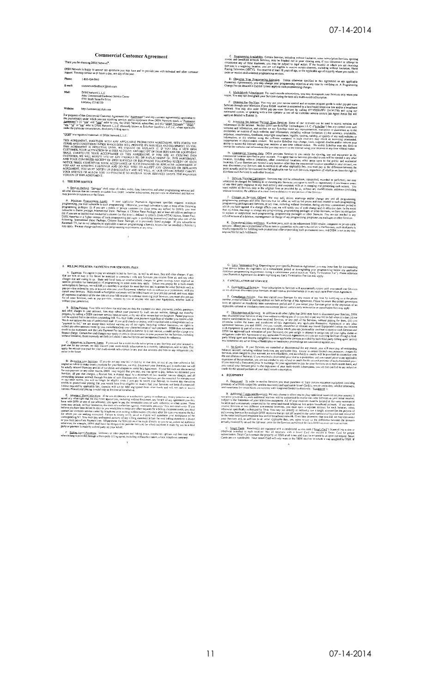#### **Commercial Customer Agreement**

## Thank you for choosing DISH Network<sup>4</sup>

DISH Network is happy to answer any questions you may have and to provide you with technical and other customer<br>support. You may contact us 24 hours a day, my day of the year. Phone: 1-800-454-0843

commercialfeedback@dish.com **E-mails** 

- DISH Network L.L.C.<br>Atta: Commercial Customer Service Center<br>5701 South Santa Fe Drive<br>Littleton, CO 80120 Mail:
	- -

http://commercial.dish.com

For purposes of this Centribrical Customer Agreement (the "Agreement") and any customer agreement(s) applicable to the which you are receiving services and/or equipment from DISH Network (each, a "Promotion") wide which y

#### "<br>"DISH" is a registered trademark of DISH Network L.L.C."

"DISH" is argueded trademic of DISH Meroch L.L.C.<br>THE AGENEEMENT , SETS FORTH THE AGENERATIONS (WELFACED IN THE MONDITION (THE RESPONSE TO YOU THE MORE MAND COUNTINUE TO THE SERVICES AND EQUIDMENT TO YOU THE AGENERATIONS (

#### **I. THE DISH SERVICE**

A. Services Defined, "Servises" shall mean all viden, audio, duta, interactive and other programming services and<br>all other services that are currently available from DISH (whether subscription, pay-per-araw or otherwise)

"The Minimum Programming Levels. If your applicable constant appearing specifies required minimum<br>programming you must values the brand of the proposition of the minimum<br>programming you must values in the specific originat

#### 2. BILLING POLICIES; PAYMENTS FOR SERVICES; FEES

When you reconstructed in the base of the base of the state of the state of the state of the particles. The particles of the particles of the particles of the particles of the state of the state of the state of the state o

C. Alterations to Payment Terms. If you puid for a nuiti-morth subscription to any Services and your account is<br>I due for any amount, we may convert your multi-month subscription to a monthly subscription, and we may first

D. Researchiz Note Sections. If you do not pay your bidding the due after exposition and methods of the section of the present of the section of the section of the section of the section of the section of the section of t

E. Alternate These<br>Scale theory is a collection spenty to collect the money you over us on<br>the state and the maximum spenty in a collection spenty in order to the<br>state and the state of the state of the state of the state

F <u>Billing Agent Payments</u> Different or other payment and billing tenns, conditions, options and fees may apply<br>when billing is provided through a third-porty billing agent, including without fincturion, a local telephone

C. Etogramming Availability, Cernain Services, including without limitation, some subscription Services, sporting<br>creates and broadcass network Services, may be blacked out in your viewing sees, if you ditcomment any of t

D. Changing Your Programming Selection. Unless otherwise specified in this Agreement or any applicable<br>Promotion Agreement(s), you may change your programming selection at any time by notifying us. A Programming<br>Change Pee

E. <u>Multi-Month</u> Su<u>bscriptio</u>ns. For multi-month subscriptions, you may downgtade your Services only when you<br>ew. You may not down*gra*de your Services during the term of a multi-munth subscription.

F. Ordering Pay-Per-View. You may use your remote control and on-streen program geide to order pay-per-view Services through your View Distribution if your DISH receiver is connected to a fand-hased telephone line and/or

(3) According the Infernal Through Your Resigns. Some of our retrivers can be used to access we<br>felts and the Infernal Through Your Resigns: Some of our retrivers can be used to access we<br>follow and the Infernal Nelidez (

The control of the control of the control of the control of the control of the control of the control of the control of the control of the control of the control of the control of the control of the control of the control

1. Strainas Vigning Limitations. Services may not be rebroadean, immediated, recorded or performed, not may admitted to include the internal of the strained for internal of the strained for the strained of the strained of

The constraints of the constraints of the constraints of the constraints and the constraints of the constraints of the constraints of the constraints of the constraints of the constraints of the constraints of the constrai

K. **Promotional Offers and Isans.** If a third party, such as an independent DISH retailer, integrator or private cable<br>operative, offered you a promotional offer or item in cozzection with your subscription to the Service  $\overline{2}$ 

G. <u>Early Tstmination</u> Feed. Depending no your specific Promotion Agreement, you may incur fees for discometeing<br>your service belies the explasion of a commitment period of downgrading your programming below any applicable 3. CANCELLATION OF SERVICE

A. Continuation of Services Your subscription to Services will assomatedly renew until you cancel your Services<br>or we otherwise discoment your Services, in each case as provided herein or in any applicable Promotion Agreem

0. Canochlation Policies. You may cared your Services for any reason w any time by notifying us at the return and improvement of the action of the primary control of the primary control of the primary control of the contro

**Spheres system of Secretary centric material frames services** tax permission or canceled the constrained proportion of the Chinese Constraints (Secretary and Secretary and Secretary and Secretary and Secretary and Secret

1). Ho Credity, 14 your Services are cancelled or disconnected for any reason, you all must pay all outstanding behaves according to the matter of the control of the services concerns and the services concelled by the ani

## 4. EQUIPMENT

A. Equations: In order to receive Services you must purchase or least certain reception equipment consisting<br>primarily of a DISH compatible satellite receiver(s) and applicable Smart Card(s), remote control(s), vatellite a

3. Additional Langua and Receivers, We are a chosen to take you to the medicinal receivers on you account. It saids the control of the subsection of the subsection of the subsection of the subsection of the subsection of

C. Smart Cards. Receiver(s) are equipped with a conditional accress eard ("Smart Card") inserted into a slo<br>enferwise installed in such receiver. Nur all receivers with a Smart Card stor require a Smart Card for present<br>au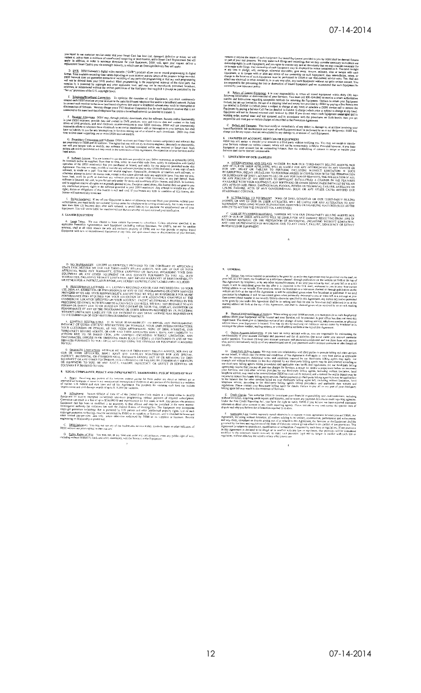you sepert to our custopart service center that your Smart Card has been lost, damaged, defective or stulen, we will<br>replace it, unless there is evidence of unauthorized fortpecing or modification, and a Smart Card Replace

D. DYR DISH Network's digital video technology of which were to commute below that per particular the second propriation of the program below. The CORE of the CORE of the CORE of the CORE of the CORE of the CORE of the COR

E. **Elephone/Broathand Connection**. To optimize the operation of your Equipment, you must connected the SSH receiver on your account to the same land-based telephone line and/or a broadband network connected to the same l oftunesser<br>ork. Failure<br>erruption or

F. **Receiver Alternions.** DISH may, through periodic downloads, alter the dochward in Example functionship<br>in your DISH receivers, provided ask and constraint to DVR products; since the dochware. Encuring and/or distribut

G. Progridstary Companents and Software. DISH receivers and Smart Cardo countin components and software that is been controlled to the controlled the controlled of the controlled of the controlled of the controlled or the

legal acids.<br>
He al. Software License. You are tienned to use the sectivize provided in you: DISH receivers), as updated by DISH.<br>
HE software suble us suppliers from time to time, solely in eventable code from, solely in

Siolen Edulments. If any of your Equation is staten or otherwise recoved from your premises without your<br>feating, you must instity our customer service center by releptons or in writing istimation(y, but in any event not<br>h **5. LEASED EQUIPMENT** 

A. Least Terms. We may choose to lease certain Equipment to subserious. Unless otherwise specified in an applicable Promotion Agreement(s), such Equipment (including vention limitation, the LNEFs, but not the sutellite ap

D. <u>NO WARKANDES</u> – EXCEPT AS EXPRESSLY PROVIDED TO THE CONTRARY BY APPLICABLE STAW, NEITHER WE NOR CONTRARY BITLENG ARE NOT OUR OR TITHE AFTER LAW, NEITHER WE NORTHER APPLICATION OF DRIVER SERVICES OF A STATE AFTER A STAT

**SECURE AND A CONSERVABLE LICENSES AND LICENSES EXPRESSIVE DISCLAIMED AND EXCLUDED TO THE ENERGY AND A CONSERVABLE LICENSES AND LICENSES AND LICENSES OF A THE SOCKLAMING OR OTHER SERVICES FOR MUSIC PRODUCTS TO THE RESPONSI** 

F. CONTENT RESTRICTIONS TIT IS YOUR RESPONSIBILITY TO IMPOSE ANY PROGRAMMING. INTURNAL TOR UTHER CONTENT RESTRICTIONS ON YOURSELE, YOUR EMPLOYEES/CONTRACTORS, OUR CUSTOMERS OR OTHERS, AS YOU. DEEN APPROPRIATE, NON- OF DEN

G DAMAGES <u>LIMITATION</u> INTITURE WE NOR OUR THIRD-PARTY BILLING AGENTS, NOR ANY GENERAL TO URE A FIFILIATES, SHALL HAVE ANY SPECIAL, INDIRECT, INCIDENTAL OR CONSEQUENTAL OR ANY SPECIAL, INDIRECT, INCIDENTAL OR CONSEQUENTIAL

 $\bf 8 - EEGAL \hbox{COMPLIANCE}; \hbox{PIRACY AND INFINGEMENT}; \hbox{THADEMARKS}; \hbox{PUBLIC RIGHTS OF WAY}$ A. Brazy. Receiving any punion of the Newton without gaying for them and/or any direct or indirect act or<br>mytodiant to engancie washi that was mademized interception or reception of any pockum of the Services is a velation

Imprisonment and civil during a weards of up to  $S(16,000)$  per violation,<br> **B** Indiangement Section 1983/14 (This 4.3 of United System Consideration is considered to receive energy because the line of the state of requir

C. DISH Indicators. You may not use any of our tradematics, service marks, symbols, logos or other indicators of<br>DISH without our prior expeasiventer, curriert, and the tradematics.

D. Public Rights of Way. You may not, at any time and under any circumstance, cross any public right of way,<br>including without limitation, roads and utility easements, with the Services or the Equipment.

remove or require the return of such Equipment. No leased Equipment good to you by DISH shall be deemed fictures to pose that the deemed process over the system of the system of the system of control of the system of cont

When we use use provided in the your responsibility to return all leased Equipment wishin thiny (30) days and the distance of pair services. You must citi 80-454-0843 to receive a return additional condition of disconnect

Defects and Damages. You must notify us immediately of any defect in, damage to, or accident involving your<br>Equipment. All maintensate and repair of such Equipment must be parlumed by us or our designet(s). DISH may<br>you fo

6. TRANSFER OF ACCOUNT, SERVICES OR EQUIPMENT<br>DISTING SPECIES OF ACCOUNT, SERVICES OR EQUIPMENT<br>POINT may sell, assign or unsider your sections to a third party without notifying you. Vor may not assign or<br>Point Services w

7. LIMITATION OF OUR LIABILITY

A DIERRUPIONS AND DELAYS WITHER WE NOR OUR TIIRD-PARTY BILING AGENTS, NOR ANY OF OUR OUR THERE WE WANT OF COLOR ANY INTERRUPION IN ANY SERVICE OR FOR ANY OF UNITS AND DELAY OR THE RELIABLE FOR ANY INTERRUPTION. BUCKING WIT

B. <u>ALTERATIONS TO POURMUNT</u>. MONE OF DISLI, ECHOSTAR OR OUR THED-PARTY BILLING<br>AGENNES, OR ANY OF OUR OR JIERE AUTHLATES, WILL BE LIARLE FOR ANY ALTERATION TO ANY<br>EQUIPMENT, INCLUDING WITHOUT LIMITATION, REMOVING OR DISAB

C. (<u>USS OF RECORDED MATERIAL</u>, NEITHER WE NOR OUR THIRD-PARTY BULUNG AGENTS) ANY OF CUR QUE RESULTING TROUBLES WELL THE REPORTED TROUBLING TROUBLING TROUBLING TROUBLING TROUBLING TROUBLING TROUBLING TROUBLING TROUBLING T

#### 9. GENERAL

A. Butlies Any notice requires for permitted to be even by to under this Agreement may be provided via the mail, the same of the set of the set of the set of the set of the set of the set of the set of the set of the set A. Notice. Any not<br>your bill, as a bill inser<br>this Agreen

B. **Phonical Address/Chaine of Addets:** When setting up your DISH account, you must provide us with the physical address address and your Section 2013. The requirement will be located and your complete the control of the

C. O<u>talina Account Information</u>. If you have an online account with us, you are responsible for mainstraing the main state of the mainst exponent in the state of the main state and the party party of the main state and t

Starts.<br>
The United-Party Billing Agents. We rang enter into relationships with this paris we provede tailing and when a<br>
considerable in which cases the structure and conditions is Agentes to such a matter and the struct

 $E = \frac{\text{Credit}, \text{Chackic}}{\text{Nord}, \text{Cov}}$  You authorize DISH to investigate your financial responsibility and are<br>without limitation, acquiring credit reports and histories, and to report any payment defeals to credit region<br>Under

F. Applicable Law, Unites exposedy stand otherwise in a separate weitern agreement between you and DISH, the Agreement, including the interval including the including technology and environment, the analysis and the set o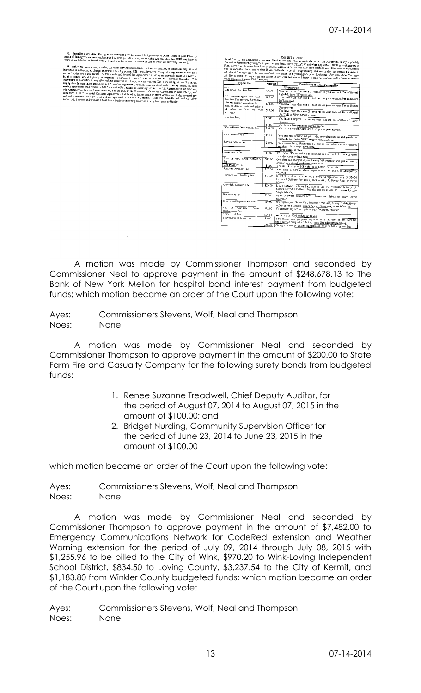|                                             |               | the succion to say amounts oue for your betwices and any other amounts due under this Agreement or any applicable<br>Promotion Agreement, you agree to pay the fees listed below ("Eccs") if and when applicable. DISH may change these<br>Fees, increase or decrease these Fees, or impose additional Fees at any time upon notice to you. Discounts on certain fees |
|---------------------------------------------|---------------|-----------------------------------------------------------------------------------------------------------------------------------------------------------------------------------------------------------------------------------------------------------------------------------------------------------------------------------------------------------------------|
|                                             |               | may be available from time to time if you subscribe to certain programming packages and/or use certain Equipment.                                                                                                                                                                                                                                                     |
|                                             |               | Additional fees may apply for non-standard installations or if you upgrade your Equipment after installation. You may                                                                                                                                                                                                                                                 |
|                                             |               |                                                                                                                                                                                                                                                                                                                                                                       |
| DISH Equipment and/or DISH Services.        |               | call 800-454-0843 to request an itemization of any cost that you will incur in order to purchase and/or lease or receive                                                                                                                                                                                                                                              |
| Type of Fec                                 | <b>Amount</b> | Description of When Fee Applies                                                                                                                                                                                                                                                                                                                                       |
|                                             |               | Monthly Fees                                                                                                                                                                                                                                                                                                                                                          |
| Additional Receiver Fee                     | \$7.00        | You have more than one (1) receiver on your account. Per additional                                                                                                                                                                                                                                                                                                   |
|                                             |               | high definition (HD) receiver,                                                                                                                                                                                                                                                                                                                                        |
| (*In determining the Additional             | 510.00        | You have more than one (1) receiver on your account. Per additional                                                                                                                                                                                                                                                                                                   |
| Receiver Fee amount, the receiver           |               | DVR receiver.                                                                                                                                                                                                                                                                                                                                                         |
| with the highest associated fee             | \$14.00       | You have more than one (1) receiver on your account. Per additional                                                                                                                                                                                                                                                                                                   |
| shall be deemed activated prior to          |               | Duo receiver.                                                                                                                                                                                                                                                                                                                                                         |
| all other seceivers on<br>your<br>account.1 | \$17.00       | You have more than one (1) receiver on your account. Per additional                                                                                                                                                                                                                                                                                                   |
|                                             |               | DuoDVR or Slingl.oaded receiver.                                                                                                                                                                                                                                                                                                                                      |
| Receiver Fees                               | \$7.00        | You have a Hopper receiver on your account. Per additional Hopper                                                                                                                                                                                                                                                                                                     |
|                                             |               | receiver                                                                                                                                                                                                                                                                                                                                                              |
|                                             | \$7.00        | You have a Jney Receiver on your account.                                                                                                                                                                                                                                                                                                                             |
| Whole Home DVR Service Fee                  | \$1000        | You have a Whole Home DVR Hopper on your account.                                                                                                                                                                                                                                                                                                                     |
|                                             |               |                                                                                                                                                                                                                                                                                                                                                                       |
| <b>DVR Service Fee</b>                      | \$7.00        | You purchase or lease a digital video recording receiver and you do not                                                                                                                                                                                                                                                                                               |
|                                             |               | subscribe to a "with DVR" programming package.                                                                                                                                                                                                                                                                                                                        |
| Service Access Fee                          | \$10.00       | You subscribe to Racetrack TV but do not subscribe to applicable                                                                                                                                                                                                                                                                                                      |
|                                             |               | required minimum programming.                                                                                                                                                                                                                                                                                                                                         |
|                                             |               | <b>Transactional Fees</b>                                                                                                                                                                                                                                                                                                                                             |
| Agent Assist Pee                            | \$5.00        | You order PPV or make a credit/debit card or Bank Account payment                                                                                                                                                                                                                                                                                                     |
|                                             |               | over the phone with an agent.                                                                                                                                                                                                                                                                                                                                         |
| External Hard Drive Activation<br>Fce       | \$40.00       | One-time fee charged if you have a ViP receiver and you choose to                                                                                                                                                                                                                                                                                                     |
| Late Payment Fee                            |               | comment an external hard drive to that receiver.                                                                                                                                                                                                                                                                                                                      |
| Returned Payment Fee                        | \$7.00        | You do not pay your bill in full on or before its due date.                                                                                                                                                                                                                                                                                                           |
|                                             | \$:0.00       | You make an EFT or clieck payment to DISH and it is subsequently                                                                                                                                                                                                                                                                                                      |
| Shipping and Handling Fee                   | \$15.00       | returned.                                                                                                                                                                                                                                                                                                                                                             |
|                                             |               | DISH Network delivers hardware to you via regular delivery. (A \$20.00                                                                                                                                                                                                                                                                                                |
|                                             |               | Extended Delivery Fee also applies to AK, HI, Puerto Rico, or Virgin<br>[stands]                                                                                                                                                                                                                                                                                      |
| Overright Delivery Fee                      | \$20.00       |                                                                                                                                                                                                                                                                                                                                                                       |
|                                             |               | DISH Network delivers hardware to you via overnight delivery. (A                                                                                                                                                                                                                                                                                                      |
|                                             |               | \$20.00 Extended Delivery For also applies to AK, HI, Puerto Rico, or<br>Virgin Islands).                                                                                                                                                                                                                                                                             |
| <b>Box Return Fcc</b>                       | \$17.00       |                                                                                                                                                                                                                                                                                                                                                                       |
|                                             |               | DISH Network delivers return boxes and labels to return (cased<br>equipment.                                                                                                                                                                                                                                                                                          |
| Smart Curd Replacement Fee                  | \$59.00       |                                                                                                                                                                                                                                                                                                                                                                       |
|                                             |               | We replace your Smart Card because it was lost, damaged, defective or                                                                                                                                                                                                                                                                                                 |
| Ost.<br>of Wasanty<br>Receiver              | 57500         | stolen, as long as there is no evidence of tampering or modification.                                                                                                                                                                                                                                                                                                 |
| Replacement Fee                             |               | You need to replace or repair an out of warranty receiver                                                                                                                                                                                                                                                                                                             |
| Service Call Fee                            | \$95.00       | We send a certified technician to you.                                                                                                                                                                                                                                                                                                                                |
| Programming Change Fee                      | \$5.03        |                                                                                                                                                                                                                                                                                                                                                                       |
|                                             |               | You change your programming selection in 30 days or less from the<br>same service being added (but not regarding adult programming)                                                                                                                                                                                                                                   |
|                                             | \$20.00       | Changes to your programming selection include adult programming.                                                                                                                                                                                                                                                                                                      |
|                                             |               |                                                                                                                                                                                                                                                                                                                                                                       |

**EXHIBIT 1 - FEES** 

A motion was made by Commissioner Thompson and seconded by Commissioner Neal to approve payment in the amount of \$248,678.13 to The Bank of New York Mellon for hospital bond interest payment from budgeted funds; which motion became an order of the Court upon the following vote:

Ayes: Commissioners Stevens, Wolf, Neal and Thompson Noes: None

A motion was made by Commissioner Neal and seconded by Commissioner Thompson to approve payment in the amount of \$200.00 to State Farm Fire and Casualty Company for the following surety bonds from budgeted funds:

- 1. Renee Suzanne Treadwell, Chief Deputy Auditor, for the period of August 07, 2014 to August 07, 2015 in the amount of \$100.00; and
- 2. Bridget Nurding, Community Supervision Officer for the period of June 23, 2014 to June 23, 2015 in the amount of \$100.00

which motion became an order of the Court upon the following vote:

Ayes: Commissioners Stevens, Wolf, Neal and Thompson Noes: None

A motion was made by Commissioner Neal and seconded by Commissioner Thompson to approve payment in the amount of \$7,482.00 to Emergency Communications Network for CodeRed extension and Weather Warning extension for the period of July 09, 2014 through July 08, 2015 with \$1,255.96 to be billed to the City of Wink, \$970.20 to Wink-Loving Independent School District, \$834.50 to Loving County, \$3,237.54 to the City of Kermit, and \$1,183.80 from Winkler County budgeted funds; which motion became an order of the Court upon the following vote: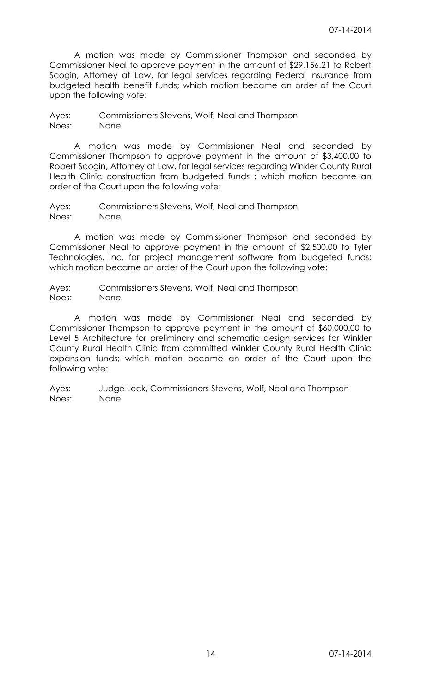A motion was made by Commissioner Thompson and seconded by Commissioner Neal to approve payment in the amount of \$29,156.21 to Robert Scogin, Attorney at Law, for legal services regarding Federal Insurance from budgeted health benefit funds; which motion became an order of the Court upon the following vote:

Ayes: Commissioners Stevens, Wolf, Neal and Thompson Noes: None

A motion was made by Commissioner Neal and seconded by Commissioner Thompson to approve payment in the amount of \$3,400.00 to Robert Scogin, Attorney at Law, for legal services regarding Winkler County Rural Health Clinic construction from budgeted funds ; which motion became an order of the Court upon the following vote:

Ayes: Commissioners Stevens, Wolf, Neal and Thompson Noes: None

A motion was made by Commissioner Thompson and seconded by Commissioner Neal to approve payment in the amount of \$2,500.00 to Tyler Technologies, Inc. for project management software from budgeted funds; which motion became an order of the Court upon the following vote:

Ayes: Commissioners Stevens, Wolf, Neal and Thompson Noes: None

A motion was made by Commissioner Neal and seconded by Commissioner Thompson to approve payment in the amount of \$60,000.00 to Level 5 Architecture for preliminary and schematic design services for Winkler County Rural Health Clinic from committed Winkler County Rural Health Clinic expansion funds; which motion became an order of the Court upon the following vote: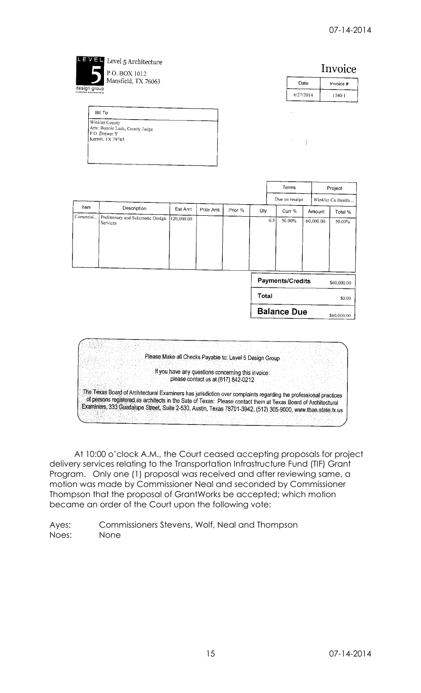|                   | P.O. BOX 1012<br>Mansfield, TX 76063                                                                             |                       |                                                                                                                                                      |         |       |                    |           | Invoice           |
|-------------------|------------------------------------------------------------------------------------------------------------------|-----------------------|------------------------------------------------------------------------------------------------------------------------------------------------------|---------|-------|--------------------|-----------|-------------------|
| design group      |                                                                                                                  |                       |                                                                                                                                                      |         |       |                    | Date      | Invoice #         |
|                   |                                                                                                                  |                       |                                                                                                                                                      |         |       |                    | 6/27/2014 | $1340 - 1$        |
|                   | Bill To                                                                                                          |                       |                                                                                                                                                      |         |       |                    |           |                   |
|                   | Winkler County<br>Attn: Bonnie Leck, County Judge<br>P.O. Drawer Y<br>Kermit, TX 79745                           |                       |                                                                                                                                                      |         |       |                    |           |                   |
|                   |                                                                                                                  |                       |                                                                                                                                                      |         |       |                    |           |                   |
|                   |                                                                                                                  |                       |                                                                                                                                                      |         |       | Terms              |           | Project           |
|                   |                                                                                                                  |                       |                                                                                                                                                      |         |       | Due on receipt     |           | Winkler Co Health |
| Item<br>Comercial | Description<br>Preliminary and Schematic Design                                                                  | Est Amt<br>120,000.00 | Prior Amt                                                                                                                                            | Prior % | Qty   | Curr %             | Amount    | Total %           |
|                   | Services                                                                                                         |                       |                                                                                                                                                      |         | 0.5   | 50.00%             | 60,000.00 | 50.00%            |
|                   |                                                                                                                  |                       |                                                                                                                                                      |         |       | Payments/Credits   |           | \$60,000.00       |
|                   |                                                                                                                  |                       |                                                                                                                                                      |         | Total |                    |           | \$0.00            |
|                   |                                                                                                                  |                       |                                                                                                                                                      |         |       | <b>Balance Due</b> |           | \$60,000.00       |
|                   | The Texas Board of Architectural Examiners has jurisdiction over complaints regarding the professional practices |                       | Please Make all Checks Payable to: Level 5 Design Group<br>If you have any questions concerning this invoice:<br>please contact us at (817) 842-0212 |         |       |                    |           |                   |

At 10:00 o'clock A.M., the Court ceased accepting proposals for project delivery services relating to the Transportation Infrastructure Fund (TIF) Grant Program. Only one (1) proposal was received and after reviewing same, a motion was made by Commissioner Neal and seconded by Commissioner Thompson that the proposal of GrantWorks be accepted; which motion became an order of the Court upon the following vote: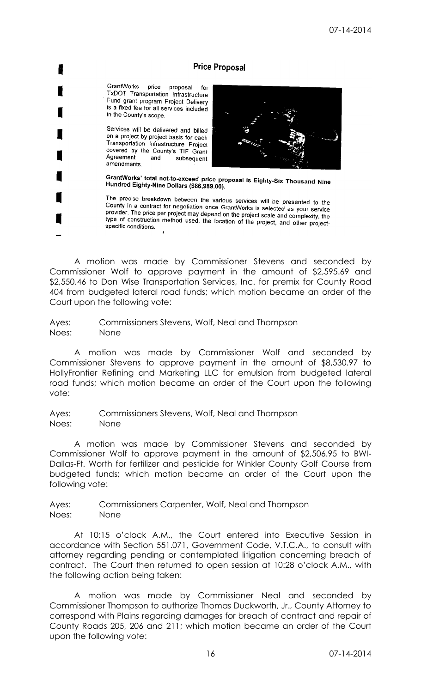# **Price Proposal**

GrantWorks price proposal for TxDOT Transportation Infrastructure Fund grant program Project Delivery is a fixed fee for all services included in the County's scope.

Services will be delivered and billed on a project-by-project basis for each Transportation Infrastructure Project covered by the County's TIF Grant Agreement and subsequent amendments.



GrantWorks' total not-to-exceed price proposal is Eighty-Six Thousand Nine<br>Hundred Eighty-Nine Dollars (\$86,999,00) Hundred Eighty-Nine Dollars (\$86,989.00).

The precise breakdown between the various services will be presented to the County in a contract for negotiation once GrantWorks is selected as your service<br>provider. The price ner project may depend on the preject with the selected as your service provider. The price per project may depend on the project scale and complexity, the<br>type of construction method used, the location of the project scale and complexity, the type of construction method used, the location of the project, and other project-<br>specific conditions specific conditions.

A motion was made by Commissioner Stevens and seconded by Commissioner Wolf to approve payment in the amount of \$2,595.69 and \$2,550.46 to Don Wise Transportation Services, Inc. for premix for County Road 404 from budgeted lateral road funds; which motion became an order of the Court upon the following vote:

Ayes: Commissioners Stevens, Wolf, Neal and Thompson Noes: None

A motion was made by Commissioner Wolf and seconded by Commissioner Stevens to approve payment in the amount of \$8,530.97 to HollyFrontier Refining and Marketing LLC for emulsion from budgeted lateral road funds; which motion became an order of the Court upon the following vote:

Ayes: Commissioners Stevens, Wolf, Neal and Thompson Noes: None

A motion was made by Commissioner Stevens and seconded by Commissioner Wolf to approve payment in the amount of \$2,506.95 to BWI-Dallas-Ft. Worth for fertilizer and pesticide for Winkler County Golf Course from budgeted funds; which motion became an order of the Court upon the following vote:

Ayes: Commissioners Carpenter, Wolf, Neal and Thompson Noes: None

At 10:15 o'clock A.M., the Court entered into Executive Session in accordance with Section 551.071, Government Code, V.T.C.A., to consult with attorney regarding pending or contemplated litigation concerning breach of contract. The Court then returned to open session at 10:28 o'clock A.M., with the following action being taken:

A motion was made by Commissioner Neal and seconded by Commissioner Thompson to authorize Thomas Duckworth, Jr., County Attorney to correspond with Plains regarding damages for breach of contract and repair of County Roads 205, 206 and 211; which motion became an order of the Court upon the following vote: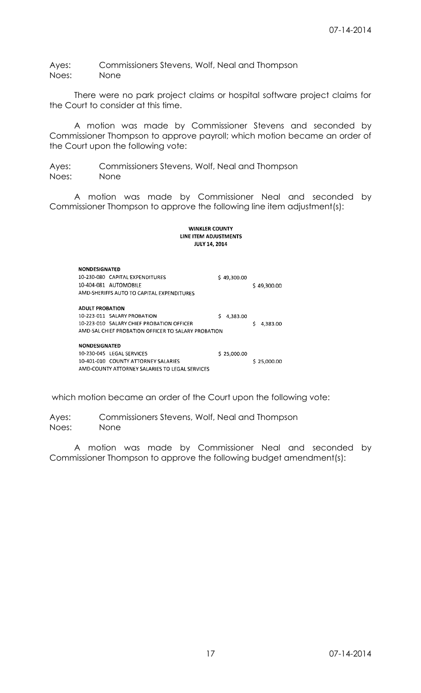Ayes: Commissioners Stevens, Wolf, Neal and Thompson Noes: None

There were no park project claims or hospital software project claims for the Court to consider at this time.

A motion was made by Commissioner Stevens and seconded by Commissioner Thompson to approve payroll; which motion became an order of the Court upon the following vote:

Ayes: Commissioners Stevens, Wolf, Neal and Thompson Noes: None

A motion was made by Commissioner Neal and seconded by Commissioner Thompson to approve the following line item adjustment(s):

#### **WINKLER COUNTY** LINE ITEM ADJUSTMENTS **JULY 14, 2014**

| <b>NONDESIGNATED</b>   |                                                     |               |               |
|------------------------|-----------------------------------------------------|---------------|---------------|
|                        | 10-230-080 CAPITAL EXPENDITURES                     | \$49,300.00   |               |
|                        | 10-404-081 AUTOMOBILE                               |               | \$49,300.00   |
|                        | AMD-SHERIFFS AUTO TO CAPITAL EXPENDITURES           |               |               |
|                        |                                                     |               |               |
| <b>ADULT PROBATION</b> |                                                     |               |               |
|                        | 10-223-011 SALARY PROBATION                         | Ś<br>4.383.00 |               |
|                        | 10-223-010 SALARY CHIEF PROBATION OFFICER           |               | Ś<br>4,383.00 |
|                        | AMD-SAL CHIEF PROBATION OFFICER TO SALARY PROBATION |               |               |
|                        |                                                     |               |               |
| <b>NONDESIGNATED</b>   |                                                     |               |               |
|                        | 10-230-045 LEGAL SERVICES                           | \$25,000.00   |               |
|                        | 10-401-010 COUNTY ATTORNEY SALARIES                 |               | \$25,000.00   |
|                        | AMD-COUNTY ATTORNEY SALARIES TO LEGAL SERVICES      |               |               |

which motion became an order of the Court upon the following vote:

Ayes: Commissioners Stevens, Wolf, Neal and Thompson Noes: None

A motion was made by Commissioner Neal and seconded by Commissioner Thompson to approve the following budget amendment(s):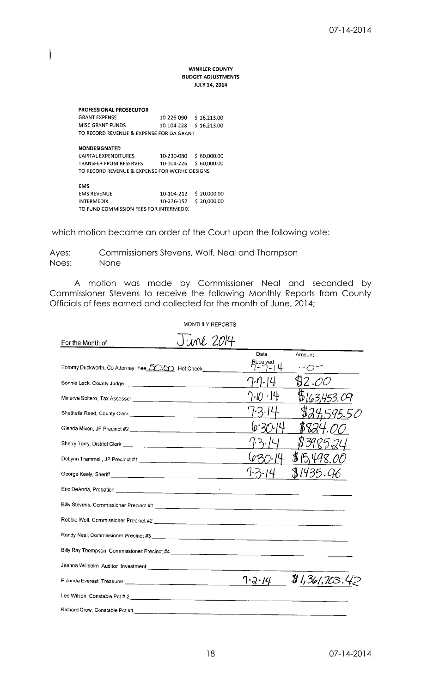## **WINKLER COUNTY BUDGET ADJUSTMENTS JULY 14, 2014**

| <b>PROFESSIONAL PROSECUTOR</b>                |            |             |
|-----------------------------------------------|------------|-------------|
| <b>GRANT EXPENSE</b>                          | 10-226-090 | \$16,213.00 |
| MISC GRANT FUNDS                              | 10-104-228 | \$16.213.00 |
| TO RECORD REVENUE & EXPENSE FOR DA GRANT      |            |             |
|                                               |            |             |
| <b>NONDESIGNATED</b>                          |            |             |
| <b>CAPITAL EXPENDITURES</b>                   | 10-230-080 | \$60,000.00 |
| <b>TRANSFER FROM RESERVES</b>                 | 10-104-226 | \$60,000.00 |
| TO RECORD REVENUE & EXPENSE FOR WCRHC DESIGNS |            |             |
|                                               |            |             |
| <b>EMS</b>                                    |            |             |
| <b>FMS REVENUE</b>                            | 10-104-212 | \$20,000.00 |
| INTERMEDIX                                    | 10-236-157 | \$20,000.00 |
| TO FUND COMMISSION FEES FOR INTERMEDIX        |            |             |

I

which motion became an order of the Court upon the following vote:

Ayes: Commissioners Stevens, Wolf, Neal and Thompson Noes: None

A motion was made by Commissioner Neal and seconded by Commissioner Stevens to receive the following Monthly Reports from County Officials of fees earned and collected for the month of June, 2014;

| For the Month of                                         | June 2014 |                          |                |
|----------------------------------------------------------|-----------|--------------------------|----------------|
|                                                          |           | Date                     | Amount         |
| Tommy Duckworth, Co Attorney Fee 50.00 Hot Check________ |           | Received<br>$7 - 7 - 14$ | $-C$           |
|                                                          |           | $7 - 11 - 14$            | \$2.00         |
|                                                          |           | 7-10 - 14                | \$163,453.09   |
|                                                          |           | 73.14                    | \$24595.50     |
|                                                          |           |                          |                |
|                                                          |           |                          | \$3985.24      |
|                                                          |           | 30-14 -                  | \$15,498.00    |
|                                                          |           | 4.3.14                   | 1435.96        |
|                                                          |           |                          |                |
|                                                          |           |                          |                |
|                                                          |           |                          |                |
|                                                          |           |                          |                |
|                                                          |           |                          |                |
|                                                          |           |                          |                |
|                                                          |           | 7.2.14                   | \$1,361,703.42 |
|                                                          |           |                          |                |
| Richard Crow, Constable Pct #1                           |           |                          |                |

MONTHLY REPORTS